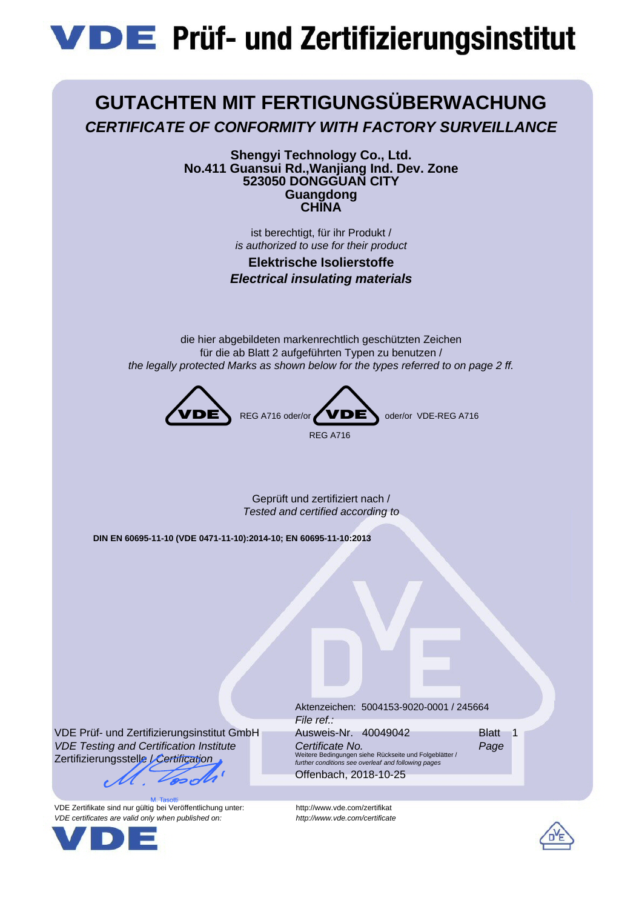# **VDE** Prüf- und Zertifizierungsinstitut



**Shengyi Technology Co., Ltd. No.411 Guansui Rd.,Wanjiang Ind. Dev. Zone 523050 DONGGUAN CITY Guangdong CHINA**

> ist berechtigt, für ihr Produkt / *is authorized to use for their product*

**Elektrische Isolierstoffe** *Electrical insulating materials*

die hier abgebildeten markenrechtlich geschützten Zeichen für die ab Blatt 2 aufgeführten Typen zu benutzen / *the legally protected Marks as shown below for the types referred to on page 2 ff.*



Geprüft und zertifiziert nach / *Tested and certified according to*

**DIN EN 60695-11-10 (VDE 0471-11-10):2014-10; EN 60695-11-10:2013**

VDE Prüf- und Zertifizierungsinstitut GmbH *VDE Testing and Certification Institute* Zertifizierungsstelle / *Certification*

VDE Zertifikate sind nur gültig bei Veröffentlichung unter: http://www.vde.com/zertifikat *VDE certificates are valid only when published on: http://www.vde.com/certificate*



Aktenzeichen: 5004153-9020-0001 / 245664 *File ref.:* Ausweis-Nr. 40049042 **Blatt** 1 *Certificate No. Page* Weitere Bedingungen siehe Rückseite und Folgeblätter / *further conditions see overleaf and following pages* Offenbach, 2018-10-25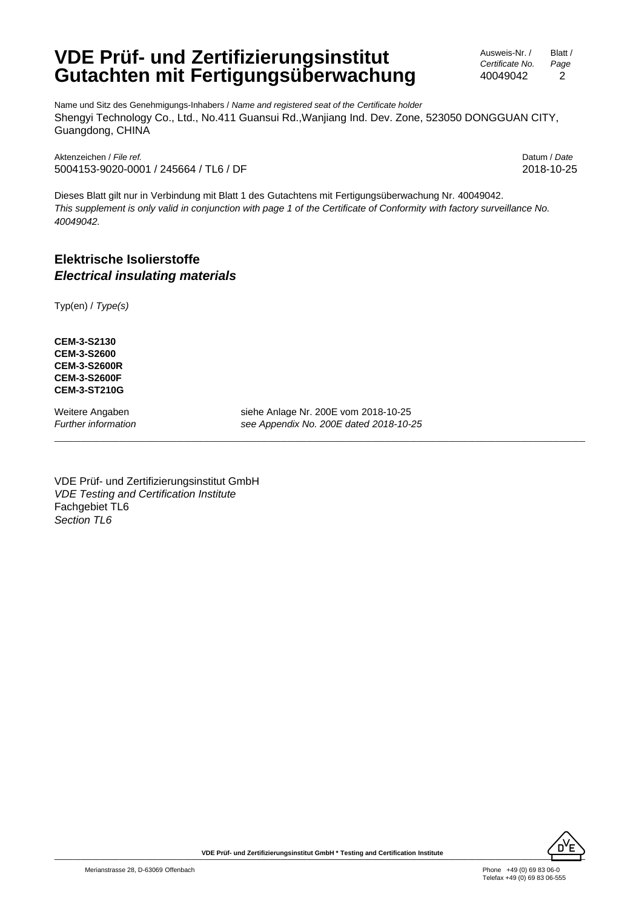## **VDE Prüf- und Zertifizierungsinstitut Gutachten mit Fertigungsüberwachung**

Ausweis-Nr. / *Certificate No.* 40049042 Blatt / *Page* 2

Name und Sitz des Genehmigungs-Inhabers / *Name and registered seat of the Certificate holder* Shengyi Technology Co., Ltd., No.411 Guansui Rd.,Wanjiang Ind. Dev. Zone, 523050 DONGGUAN CITY, Guangdong, CHINA

Aktenzeichen / *File ref.* Datum / *Date* 5004153-9020-0001 / 245664 / TL6 / DF 2018-10-25

Dieses Blatt gilt nur in Verbindung mit Blatt 1 des Gutachtens mit Fertigungsüberwachung Nr. 40049042. *This supplement is only valid in conjunction with page 1 of the Certificate of Conformity with factory surveillance No. 40049042.*

## **Elektrische Isolierstoffe** *Electrical insulating materials*

Typ(en) / *Type(s)*

**CEM-3-S2130 CEM-3-S2600 CEM-3-S2600R CEM-3-S2600F CEM-3-ST210G**

Weitere Angaben siehe Anlage Nr. 200E vom 2018-10-25 *Further information see Appendix No. 200E dated 2018-10-25*

\_\_\_\_\_\_\_\_\_\_\_\_\_\_\_\_\_\_\_\_\_\_\_\_\_\_\_\_\_\_\_\_\_\_\_\_\_\_\_\_\_\_\_\_\_\_\_\_\_\_\_\_\_\_\_\_\_\_\_\_\_\_\_\_\_\_\_\_\_\_\_\_\_\_\_\_\_\_\_\_\_\_

VDE Prüf- und Zertifizierungsinstitut GmbH *VDE Testing and Certification Institute* Fachgebiet TL6 *Section TL6*

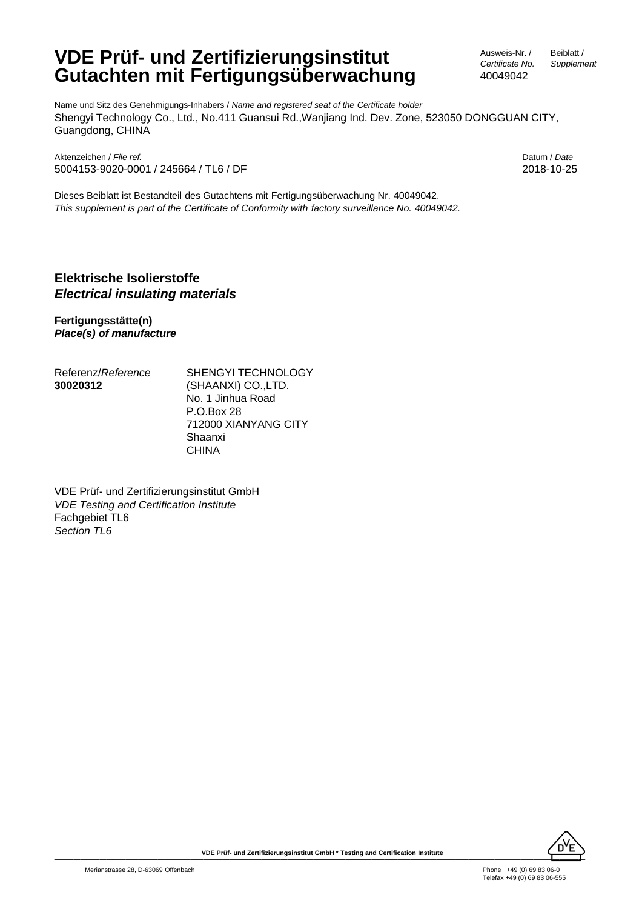# **VDE Prüf- und Zertifizierungsinstitut Gutachten mit Fertigungsüberwachung**

Ausweis-Nr. / *Certificate No.* 40049042

Beiblatt / *Supplement*

Name und Sitz des Genehmigungs-Inhabers / *Name and registered seat of the Certificate holder* Shengyi Technology Co., Ltd., No.411 Guansui Rd.,Wanjiang Ind. Dev. Zone, 523050 DONGGUAN CITY, Guangdong, CHINA

Aktenzeichen / *File ref.* Datum / *Date* 5004153-9020-0001 / 245664 / TL6 / DF 2018-10-25

Dieses Beiblatt ist Bestandteil des Gutachtens mit Fertigungsüberwachung Nr. 40049042. *This supplement is part of the Certificate of Conformity with factory surveillance No. 40049042.*

### **Elektrische Isolierstoffe** *Electrical insulating materials*

**Fertigungsstätte(n)** *Place(s) of manufacture*

| Referenz/ <i>Reference</i> |
|----------------------------|
| 30020312                   |

SHENGYI TECHNOLOGY (SHAANXI) CO.,LTD. No. 1 Jinhua Road P.O.Box 28 712000 XIANYANG CITY Shaanxi CHINA

VDE Prüf- und Zertifizierungsinstitut GmbH *VDE Testing and Certification Institute* Fachgebiet TL6 *Section TL6*